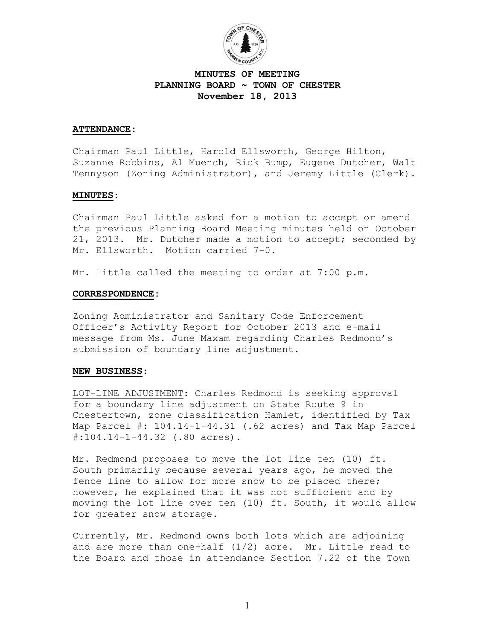

# **MINUTES OF MEETING PLANNING BOARD ~ TOWN OF CHESTER November 18, 2013**

## **ATTENDANCE:**

Chairman Paul Little, Harold Ellsworth, George Hilton, Suzanne Robbins, Al Muench, Rick Bump, Eugene Dutcher, Walt Tennyson (Zoning Administrator), and Jeremy Little (Clerk).

## **MINUTES:**

Chairman Paul Little asked for a motion to accept or amend the previous Planning Board Meeting minutes held on October 21, 2013. Mr. Dutcher made a motion to accept; seconded by Mr. Ellsworth. Motion carried 7-0.

Mr. Little called the meeting to order at 7:00 p.m.

#### **CORRESPONDENCE:**

Zoning Administrator and Sanitary Code Enforcement Officer's Activity Report for October 2013 and e-mail message from Ms. June Maxam regarding Charles Redmond's submission of boundary line adjustment.

## **NEW BUSINESS**:

LOT-LINE ADJUSTMENT: Charles Redmond is seeking approval for a boundary line adjustment on State Route 9 in Chestertown, zone classification Hamlet, identified by Tax Map Parcel #: 104.14-1-44.31 (.62 acres) and Tax Map Parcel #:104.14-1-44.32 (.80 acres).

Mr. Redmond proposes to move the lot line ten (10) ft. South primarily because several years ago, he moved the fence line to allow for more snow to be placed there; however, he explained that it was not sufficient and by moving the lot line over ten (10) ft. South, it would allow for greater snow storage.

Currently, Mr. Redmond owns both lots which are adjoining and are more than one-half (1/2) acre. Mr. Little read to the Board and those in attendance Section 7.22 of the Town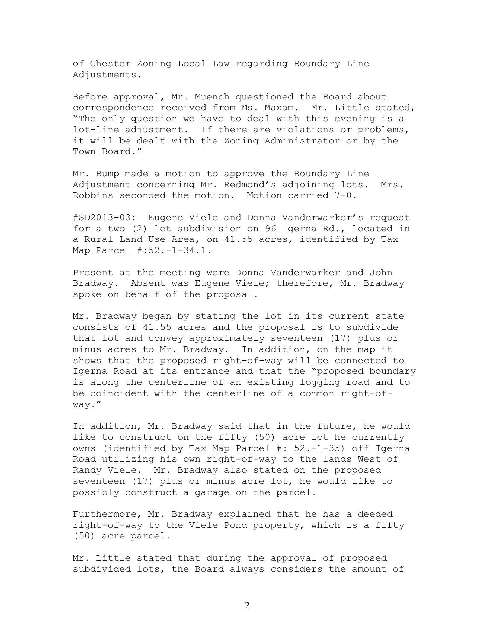of Chester Zoning Local Law regarding Boundary Line Adjustments.

Before approval, Mr. Muench questioned the Board about correspondence received from Ms. Maxam. Mr. Little stated, "The only question we have to deal with this evening is a lot-line adjustment. If there are violations or problems, it will be dealt with the Zoning Administrator or by the Town Board."

Mr. Bump made a motion to approve the Boundary Line Adjustment concerning Mr. Redmond's adjoining lots. Mrs. Robbins seconded the motion. Motion carried 7-0.

#SD2013-03: Eugene Viele and Donna Vanderwarker's request for a two (2) lot subdivision on 96 Igerna Rd., located in a Rural Land Use Area, on 41.55 acres, identified by Tax Map Parcel #:52.-1-34.1.

Present at the meeting were Donna Vanderwarker and John Bradway. Absent was Eugene Viele; therefore, Mr. Bradway spoke on behalf of the proposal.

Mr. Bradway began by stating the lot in its current state consists of 41.55 acres and the proposal is to subdivide that lot and convey approximately seventeen (17) plus or minus acres to Mr. Bradway. In addition, on the map it shows that the proposed right-of-way will be connected to Igerna Road at its entrance and that the "proposed boundary is along the centerline of an existing logging road and to be coincident with the centerline of a common right-ofway."

In addition, Mr. Bradway said that in the future, he would like to construct on the fifty (50) acre lot he currently owns (identified by Tax Map Parcel #: 52.-1-35) off Igerna Road utilizing his own right-of-way to the lands West of Randy Viele. Mr. Bradway also stated on the proposed seventeen (17) plus or minus acre lot, he would like to possibly construct a garage on the parcel.

Furthermore, Mr. Bradway explained that he has a deeded right-of-way to the Viele Pond property, which is a fifty (50) acre parcel.

Mr. Little stated that during the approval of proposed subdivided lots, the Board always considers the amount of